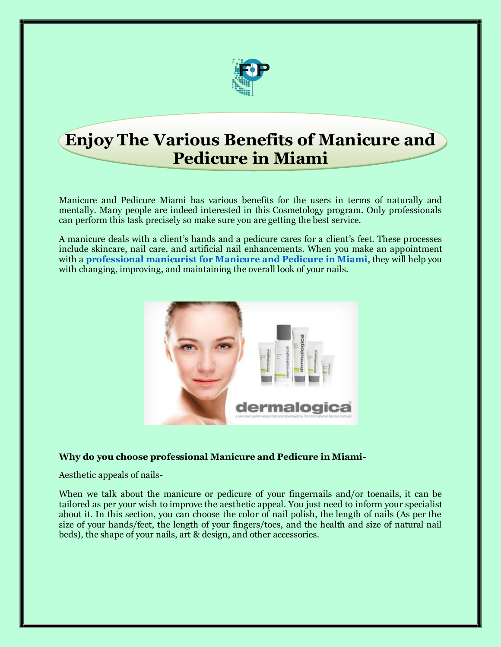

## **Enjoy The Various Benefits of Manicure and Pedicure in Miami**

Manicure and Pedicure Miami has various benefits for the users in terms of naturally and mentally. Many people are indeed interested in this Cosmetology program. Only professionals can perform this task precisely so make sure you are getting the best service.

A manicure deals with a client's hands and a pedicure cares for a client's feet. These processes include skincare, nail care, and artificial nail enhancements. When you make an appointment with a **[professional manicurist for Manicure and Pedicure in Miami](https://fashionpointmiami.com/en/services/manikyur-i-pedikyur/)**, they will help you with changing, improving, and maintaining the overall look of your nails.



### **Why do you choose professional Manicure and Pedicure in Miami-**

Aesthetic appeals of nails-

When we talk about the manicure or pedicure of your fingernails and/or toenails, it can be tailored as per your wish to improve the aesthetic appeal. You just need to inform your specialist about it. In this section, you can choose the color of nail polish, the length of nails (As per the size of your hands/feet, the length of your fingers/toes, and the health and size of natural nail beds), the shape of your nails, art & design, and other accessories.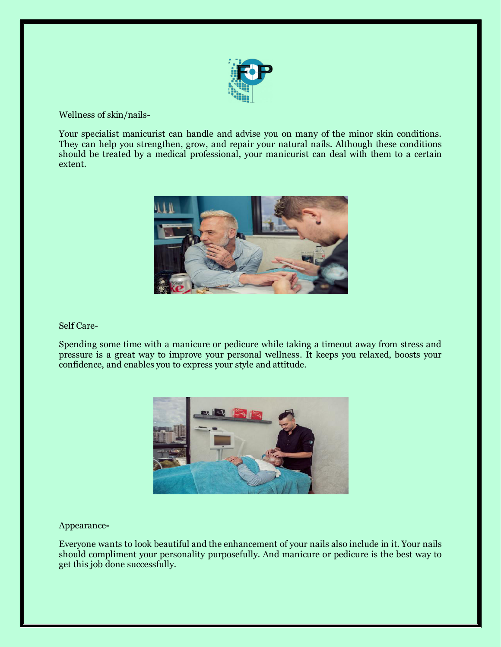

Wellness of skin/nails-

Your specialist manicurist can handle and advise you on many of the minor skin conditions. They can help you strengthen, grow, and repair your natural nails. Although these conditions should be treated by a medical professional, your manicurist can deal with them to a certain extent.



#### Self Care-

Spending some time with a manicure or pedicure while taking a timeout away from stress and pressure is a great way to improve your personal wellness. It keeps you relaxed, boosts your confidence, and enables you to express your style and attitude.



#### Appearance**-**

Everyone wants to look beautiful and the enhancement of your nails also include in it. Your nails should compliment your personality purposefully. And manicure or pedicure is the best way to get this job done successfully.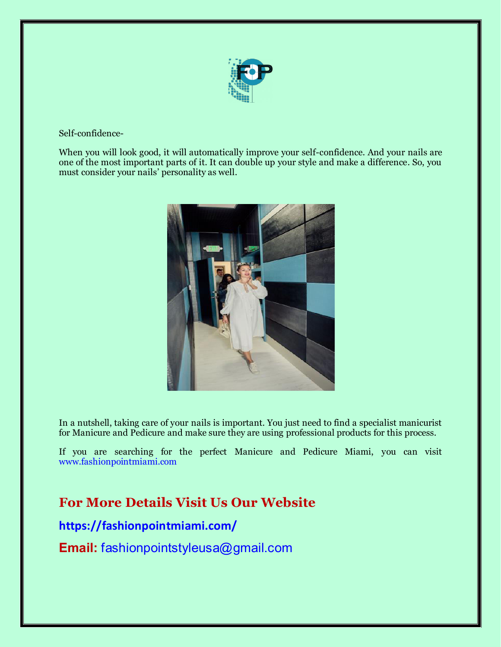

### Self-confidence-

When you will look good, it will automatically improve your self-confidence. And your nails are one of the most important parts of it. It can double up your style and make a difference. So, you must consider your nails' personality as well.



In a nutshell, taking care of your nails is important. You just need to find a specialist manicurist for Manicure and Pedicure and make sure they are using professional products for this process.

If you are searching for the perfect Manicure and Pedicure Miami, you can visit [www.fashionpointmiami.com](http://www.fashionpointmiami.com/) 

### **For More Details Visit Us Our Website**

### **https://fashionpointmiami.com/**

**Email:** fashionpointstyleusa@gmail.com